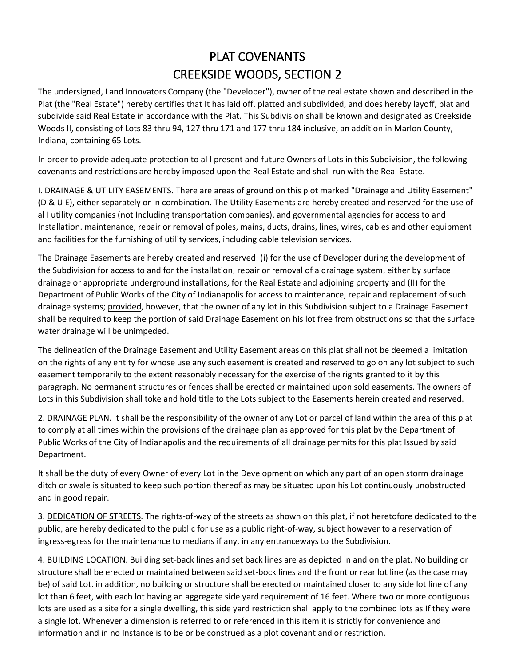## PLAT COVENANTS CREEKSIDE WOODS, SECTION 2

The undersigned, Land Innovators Company (the "Developer"), owner of the real estate shown and described in the Plat (the "Real Estate") hereby certifies that It has laid off. platted and subdivided, and does hereby layoff, plat and subdivide said Real Estate in accordance with the Plat. This Subdivision shall be known and designated as Creekside Woods II, consisting of Lots 83 thru 94, 127 thru 171 and 177 thru 184 inclusive, an addition in Marlon County, Indiana, containing 65 Lots.

In order to provide adequate protection to al I present and future Owners of Lots in this Subdivision, the following covenants and restrictions are hereby imposed upon the Real Estate and shall run with the Real Estate.

I. DRAINAGE & UTILITY EASEMENTS. There are areas of ground on this plot marked "Drainage and Utility Easement" (D & U E), either separately or in combination. The Utility Easements are hereby created and reserved for the use of al I utility companies (not Including transportation companies), and governmental agencies for access to and Installation. maintenance, repair or removal of poles, mains, ducts, drains, lines, wires, cables and other equipment and facilities for the furnishing of utility services, including cable television services.

The Drainage Easements are hereby created and reserved: (i) for the use of Developer during the development of the Subdivision for access to and for the installation, repair or removal of a drainage system, either by surface drainage or appropriate underground installations, for the Real Estate and adjoining property and (II) for the Department of Public Works of the City of Indianapolis for access to maintenance, repair and replacement of such drainage systems; provided, however, that the owner of any lot in this Subdivision subject to a Drainage Easement shall be required to keep the portion of said Drainage Easement on his lot free from obstructions so that the surface water drainage will be unimpeded.

The delineation of the Drainage Easement and Utility Easement areas on this plat shall not be deemed a limitation on the rights of any entity for whose use any such easement is created and reserved to go on any lot subject to such easement temporarily to the extent reasonably necessary for the exercise of the rights granted to it by this paragraph. No permanent structures or fences shall be erected or maintained upon sold easements. The owners of Lots in this Subdivision shall toke and hold title to the Lots subject to the Easements herein created and reserved.

2. DRAINAGE PLAN. It shall be the responsibility of the owner of any Lot or parcel of land within the area of this plat to comply at all times within the provisions of the drainage plan as approved for this plat by the Department of Public Works of the City of Indianapolis and the requirements of all drainage permits for this plat Issued by said Department.

It shall be the duty of every Owner of every Lot in the Development on which any part of an open storm drainage ditch or swale is situated to keep such portion thereof as may be situated upon his Lot continuously unobstructed and in good repair.

3. DEDICATION OF STREETS. The rights-of-way of the streets as shown on this plat, if not heretofore dedicated to the public, are hereby dedicated to the public for use as a public right-of-way, subject however to a reservation of ingress-egress for the maintenance to medians if any, in any entranceways to the Subdivision.

4. BUILDING LOCATION. Building set-back lines and set back lines are as depicted in and on the plat. No building or structure shall be erected or maintained between said set-bock lines and the front or rear lot line (as the case may be) of said Lot. in addition, no building or structure shall be erected or maintained closer to any side lot line of any lot than 6 feet, with each lot having an aggregate side yard requirement of 16 feet. Where two or more contiguous lots are used as a site for a single dwelling, this side yard restriction shall apply to the combined lots as If they were a single lot. Whenever a dimension is referred to or referenced in this item it is strictly for convenience and information and in no Instance is to be or be construed as a plot covenant and or restriction.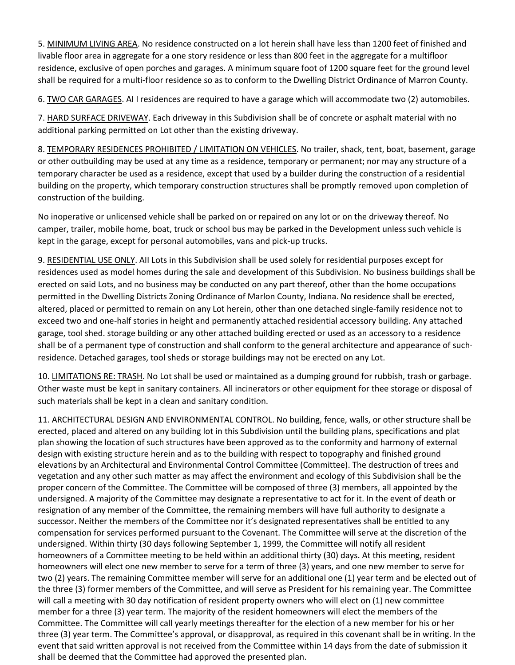5. MINIMUM LIVING AREA. No residence constructed on a lot herein shall have less than 1200 feet of finished and livable floor area in aggregate for a one story residence or less than 800 feet in the aggregate for a multifloor residence, exclusive of open porches and garages. A minimum square foot of 1200 square feet for the ground level shall be required for a multi-floor residence so as to conform to the Dwelling District Ordinance of Marron County.

6. TWO CAR GARAGES. AI I residences are required to have a garage which will accommodate two (2) automobiles.

7. HARD SURFACE DRIVEWAY. Each driveway in this Subdivision shall be of concrete or asphalt material with no additional parking permitted on Lot other than the existing driveway.

8. TEMPORARY RESIDENCES PROHIBITED / LIMITATION ON VEHICLES. No trailer, shack, tent, boat, basement, garage or other outbuilding may be used at any time as a residence, temporary or permanent; nor may any structure of a temporary character be used as a residence, except that used by a builder during the construction of a residential building on the property, which temporary construction structures shall be promptly removed upon completion of construction of the building.

No inoperative or unlicensed vehicle shall be parked on or repaired on any lot or on the driveway thereof. No camper, trailer, mobile home, boat, truck or school bus may be parked in the Development unless such vehicle is kept in the garage, except for personal automobiles, vans and pick-up trucks.

9. RESIDENTIAL USE ONLY. AII Lots in this Subdivision shall be used solely for residential purposes except for residences used as model homes during the sale and development of this Subdivision. No business buildings shall be erected on said Lots, and no business may be conducted on any part thereof, other than the home occupations permitted in the Dwelling Districts Zoning Ordinance of Marlon County, Indiana. No residence shall be erected, altered, placed or permitted to remain on any Lot herein, other than one detached single-family residence not to exceed two and one-half stories in height and permanently attached residential accessory building. Any attached garage, tool shed. storage building or any other attached building erected or used as an accessory to a residence shall be of a permanent type of construction and shall conform to the general architecture and appearance of such· residence. Detached garages, tool sheds or storage buildings may not be erected on any Lot.

10. LIMITATIONS RE: TRASH. No Lot shall be used or maintained as a dumping ground for rubbish, trash or garbage. Other waste must be kept in sanitary containers. All incinerators or other equipment for thee storage or disposal of such materials shall be kept in a clean and sanitary condition.

11. ARCHITECTURAL DESIGN AND ENVIRONMENTAL CONTROL. No building, fence, walls, or other structure shall be erected, placed and altered on any building lot in this Subdivision until the building plans, specifications and plat plan showing the location of such structures have been approved as to the conformity and harmony of external design with existing structure herein and as to the building with respect to topography and finished ground elevations by an Architectural and Environmental Control Committee (Committee). The destruction of trees and vegetation and any other such matter as may affect the environment and ecology of this Subdivision shall be the proper concern of the Committee. The Committee will be composed of three (3) members, all appointed by the undersigned. A majority of the Committee may designate a representative to act for it. In the event of death or resignation of any member of the Committee, the remaining members will have full authority to designate a successor. Neither the members of the Committee nor it's designated representatives shall be entitled to any compensation for services performed pursuant to the Covenant. The Committee will serve at the discretion of the undersigned. Within thirty (30 days following September 1, 1999, the Committee will notify all resident homeowners of a Committee meeting to be held within an additional thirty (30) days. At this meeting, resident homeowners will elect one new member to serve for a term of three (3) years, and one new member to serve for two (2) years. The remaining Committee member will serve for an additional one (1) year term and be elected out of the three (3) former members of the Committee, and will serve as President for his remaining year. The Committee will call a meeting with 30 day notification of resident property owners who will elect on (1) new committee member for a three (3) year term. The majority of the resident homeowners will elect the members of the Committee. The Committee will call yearly meetings thereafter for the election of a new member for his or her three (3) year term. The Committee's approval, or disapproval, as required in this covenant shall be in writing. In the event that said written approval is not received from the Committee within 14 days from the date of submission it shall be deemed that the Committee had approved the presented plan.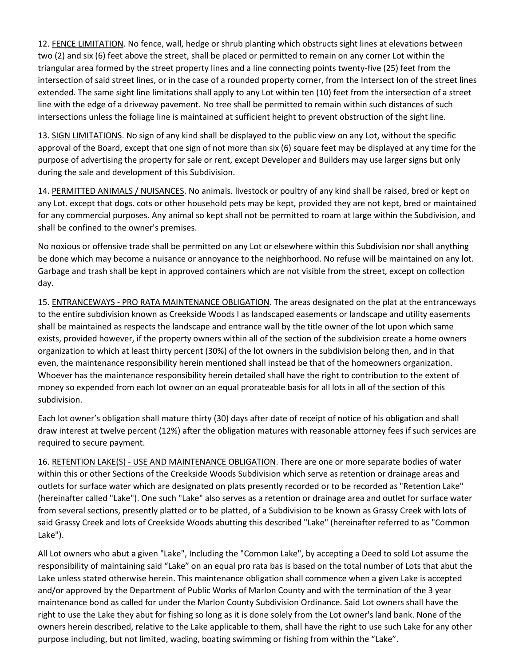12. FENCE LIMITATION. No fence, wall, hedge or shrub planting which obstructs sight lines at elevations between two (2) and six (6) feet above the street, shall be placed or permitted to remain on any corner Lot within the triangular area formed by the street property lines and a line connecting points twenty-five (25) feet from the intersection of said street lines, or in the case of a rounded property corner, from the Intersect Ion of the street lines extended. The same sight line limitations shall apply to any Lot within ten (10) feet from the intersection of a street line with the edge of a driveway pavement. No tree shall be permitted to remain within such distances of such intersections unless the foliage line is maintained at sufficient height to prevent obstruction of the sight line.

13. SIGN LIMITATIONS. No sign of any kind shall be displayed to the public view on any Lot, without the specific approval of the Board, except that one sign of not more than six (6) square feet may be displayed at any time for the purpose of advertising the property for sale or rent, except Developer and Builders may use larger signs but only during the sale and development of this Subdivision.

14. PERMITTED ANIMALS / NUISANCES. No animals. livestock or poultry of any kind shall be raised, bred or kept on any Lot. except that dogs. cots or other household pets may be kept, provided they are not kept, bred or maintained for any commercial purposes. Any animal so kept shall not be permitted to roam at large within the Subdivision, and shall be confined to the owner's premises.

No noxious or offensive trade shall be permitted on any Lot or elsewhere within this Subdivision nor shall anything be done which may become a nuisance or annoyance to the neighborhood. No refuse will be maintained on any lot. Garbage and trash shall be kept in approved containers which are not visible from the street, except on collection day.

15. ENTRANCEWAYS - PRO RATA MAINTENANCE OBLIGATION. The areas designated on the plat at the entranceways to the entire subdivision known as Creekside Woods I as landscaped easements or landscape and utility easements shall be maintained as respects the landscape and entrance wall by the title owner of the lot upon which same exists, provided however, if the property owners within all of the section of the subdivision create a home owners organization to which at least thirty percent (30%) of the lot owners in the subdivision belong then, and in that even, the maintenance responsibility herein mentioned shall instead be that of the homeowners organization. Whoever has the maintenance responsibility herein detailed shall have the right to contribution to the extent of money so expended from each lot owner on an equal prorateable basis for all lots in all of the section of this subdivision.

Each lot owner's obligation shall mature thirty (30) days after date of receipt of notice of his obligation and shall draw interest at twelve percent (12%) after the obligation matures with reasonable attorney fees if such services are required to secure payment.

16. RETENTION LAKE(S) - USE AND MAINTENANCE OBLIGATION. There are one or more separate bodies of water within this or other Sections of the Creekside Woods Subdivision which serve as retention or drainage areas and outlets for surface water which are designated on plats presently recorded or to be recorded as "Retention Lake" (hereinafter called "Lake"). One such "Lake" also serves as a retention or drainage area and outlet for surface water from several sections, presently platted or to be platted, of a Subdivision to be known as Grassy Creek with lots of said Grassy Creek and lots of Creekside Woods abutting this described "Lake" (hereinafter referred to as "Common Lake").

All Lot owners who abut a given "Lake", Including the "Common Lake", by accepting a Deed to sold Lot assume the responsibility of maintaining said "Lake" on an equal pro rata bas is based on the total number of Lots that abut the Lake unless stated otherwise herein. This maintenance obligation shall commence when a given Lake is accepted and/or approved by the Department of Public Works of Marlon County and with the termination of the 3 year maintenance bond as called for under the Marlon County Subdivision Ordinance. Said Lot owners shall have the right to use the Lake they abut for fishing so long as it is done solely from the Lot owner's land bank. None of the owners herein described, relative to the Lake applicable to them, shall have the right to use such Lake for any other purpose including, but not limited, wading, boating swimming or fishing from within the "Lake".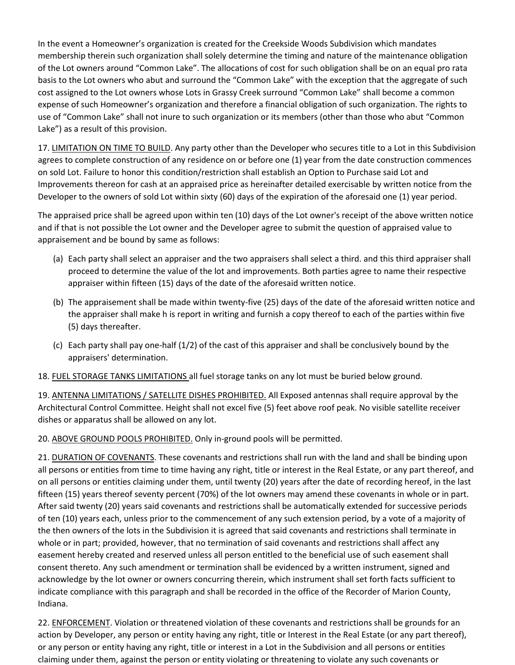In the event a Homeowner's organization is created for the Creekside Woods Subdivision which mandates membership therein such organization shall solely determine the timing and nature of the maintenance obligation of the Lot owners around "Common Lake". The allocations of cost for such obligation shall be on an equal pro rata basis to the Lot owners who abut and surround the "Common Lake" with the exception that the aggregate of such cost assigned to the Lot owners whose Lots in Grassy Creek surround "Common Lake" shall become a common expense of such Homeowner's organization and therefore a financial obligation of such organization. The rights to use of "Common Lake" shall not inure to such organization or its members (other than those who abut "Common Lake") as a result of this provision.

17. LIMITATION ON TIME TO BUILD. Any party other than the Developer who secures title to a Lot in this Subdivision agrees to complete construction of any residence on or before one (1) year from the date construction commences on sold Lot. Failure to honor this condition/restriction shall establish an Option to Purchase said Lot and Improvements thereon for cash at an appraised price as hereinafter detailed exercisable by written notice from the Developer to the owners of sold Lot within sixty (60) days of the expiration of the aforesaid one (1) year period.

The appraised price shall be agreed upon within ten (10) days of the Lot owner's receipt of the above written notice and if that is not possible the Lot owner and the Developer agree to submit the question of appraised value to appraisement and be bound by same as follows:

- (a) Each party shall select an appraiser and the two appraisers shall select a third. and this third appraiser shall proceed to determine the value of the lot and improvements. Both parties agree to name their respective appraiser within fifteen (15) days of the date of the aforesaid written notice.
- (b) The appraisement shall be made within twenty-five (25) days of the date of the aforesaid written notice and the appraiser shall make h is report in writing and furnish a copy thereof to each of the parties within five (5) days thereafter.
- (c) Each party shall pay one-half (1/2) of the cast of this appraiser and shall be conclusively bound by the appraisers' determination.

18. FUEL STORAGE TANKS LIMITATIONS all fuel storage tanks on any lot must be buried below ground.

19. ANTENNA LIMITATIONS / SATELLITE DISHES PROHIBITED. All Exposed antennas shall require approval by the Architectural Control Committee. Height shall not excel five (5) feet above roof peak. No visible satellite receiver dishes or apparatus shall be allowed on any lot.

20. ABOVE GROUND POOLS PROHIBITED. Only in-ground pools will be permitted.

21. DURATION OF COVENANTS. These covenants and restrictions shall run with the land and shall be binding upon all persons or entities from time to time having any right, title or interest in the Real Estate, or any part thereof, and on all persons or entities claiming under them, until twenty (20) years after the date of recording hereof, in the last fifteen (15) years thereof seventy percent (70%) of the lot owners may amend these covenants in whole or in part. After said twenty (20) years said covenants and restrictions shall be automatically extended for successive periods of ten (10) years each, unless prior to the commencement of any such extension period, by a vote of a majority of the then owners of the lots in the Subdivision it is agreed that said covenants and restrictions shall terminate in whole or in part; provided, however, that no termination of said covenants and restrictions shall affect any easement hereby created and reserved unless all person entitled to the beneficial use of such easement shall consent thereto. Any such amendment or termination shall be evidenced by a written instrument, signed and acknowledge by the lot owner or owners concurring therein, which instrument shall set forth facts sufficient to indicate compliance with this paragraph and shall be recorded in the office of the Recorder of Marion County, Indiana.

22. ENFORCEMENT. Violation or threatened violation of these covenants and restrictions shall be grounds for an action by Developer, any person or entity having any right, title or Interest in the Real Estate (or any part thereof), or any person or entity having any right, title or interest in a Lot in the Subdivision and all persons or entities claiming under them, against the person or entity violating or threatening to violate any such covenants or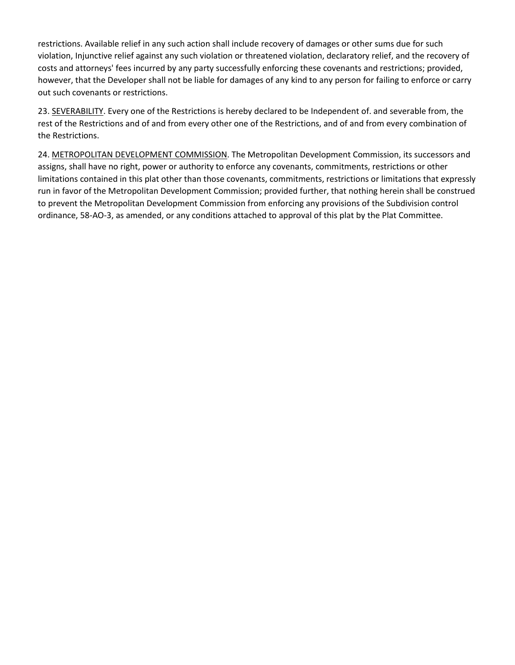restrictions. Available relief in any such action shall include recovery of damages or other sums due for such violation, Injunctive relief against any such violation or threatened violation, declaratory relief, and the recovery of costs and attorneys' fees incurred by any party successfully enforcing these covenants and restrictions; provided, however, that the Developer shall not be liable for damages of any kind to any person for failing to enforce or carry out such covenants or restrictions.

23. SEVERABILITY. Every one of the Restrictions is hereby declared to be Independent of. and severable from, the rest of the Restrictions and of and from every other one of the Restrictions, and of and from every combination of the Restrictions.

24. METROPOLITAN DEVELOPMENT COMMISSION. The Metropolitan Development Commission, its successors and assigns, shall have no right, power or authority to enforce any covenants, commitments, restrictions or other limitations contained in this plat other than those covenants, commitments, restrictions or limitations that expressly run in favor of the Metropolitan Development Commission; provided further, that nothing herein shall be construed to prevent the Metropolitan Development Commission from enforcing any provisions of the Subdivision control ordinance, 58-AO-3, as amended, or any conditions attached to approval of this plat by the Plat Committee.